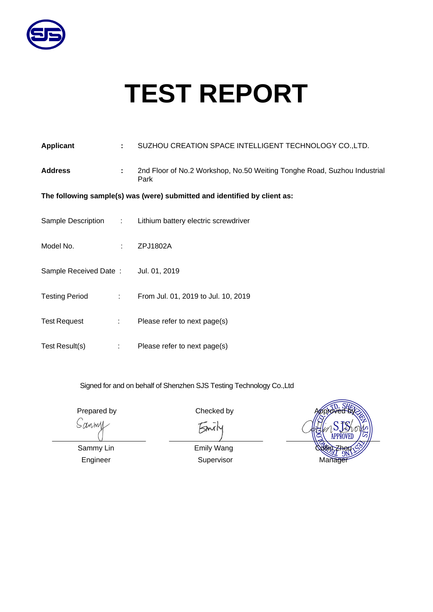

# **TEST REPORT**

| Applicant                           | ÷.                                                                        | SUZHOU CREATION SPACE INTELLIGENT TECHNOLOGY CO., LTD.                           |  |  |  |  |  |
|-------------------------------------|---------------------------------------------------------------------------|----------------------------------------------------------------------------------|--|--|--|--|--|
| <b>Address</b>                      | ÷.                                                                        | 2nd Floor of No.2 Workshop, No.50 Weiting Tonghe Road, Suzhou Industrial<br>Park |  |  |  |  |  |
|                                     | The following sample(s) was (were) submitted and identified by client as: |                                                                                  |  |  |  |  |  |
| Sample Description :                |                                                                           | Lithium battery electric screwdriver                                             |  |  |  |  |  |
| Model No.                           | ÷.                                                                        | ZPJ1802A                                                                         |  |  |  |  |  |
| Sample Received Date: Jul. 01, 2019 |                                                                           |                                                                                  |  |  |  |  |  |
| <b>Testing Period</b>               | 100000                                                                    | From Jul. 01, 2019 to Jul. 10, 2019                                              |  |  |  |  |  |
| <b>Test Request</b>                 | $\mathbb{Z}^n$                                                            | Please refer to next page(s)                                                     |  |  |  |  |  |
| Test Result(s)                      | ÷                                                                         | Please refer to next page(s)                                                     |  |  |  |  |  |

Signed for and on behalf of Shenzhen SJS Testing Technology Co.,Ltd

Prepared by Approved by Approved by Approved by Approved by Checked by

 $5<sup>n</sup>$ лl

Sanmy

APPROVET **Collin**, Zhou Manager

Sammy Lin Engineer

Emily Wang Supervisor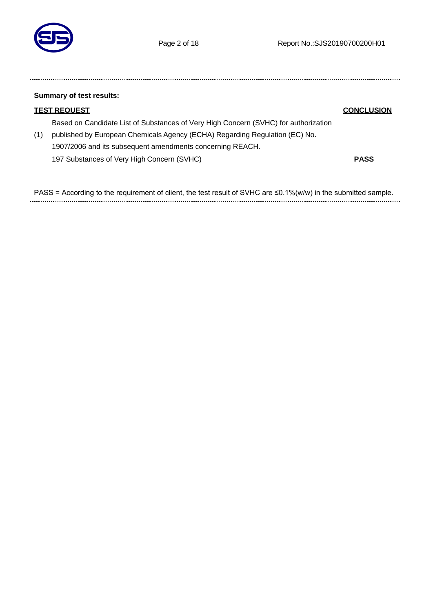

| <b>Summary of test results:</b> |                                                                                     |                   |  |  |
|---------------------------------|-------------------------------------------------------------------------------------|-------------------|--|--|
|                                 | <u>TEST REQUEST</u>                                                                 | <b>CONCLUSION</b> |  |  |
|                                 | Based on Candidate List of Substances of Very High Concern (SVHC) for authorization |                   |  |  |
| (1)                             | published by European Chemicals Agency (ECHA) Regarding Regulation (EC) No.         |                   |  |  |
|                                 | 1907/2006 and its subsequent amendments concerning REACH.                           |                   |  |  |
|                                 | 197 Substances of Very High Concern (SVHC)                                          | <b>PASS</b>       |  |  |
|                                 |                                                                                     |                   |  |  |

PASS = According to the requirement of client, the test result of SVHC are ≤0.1%(w/w) in the submitted sample.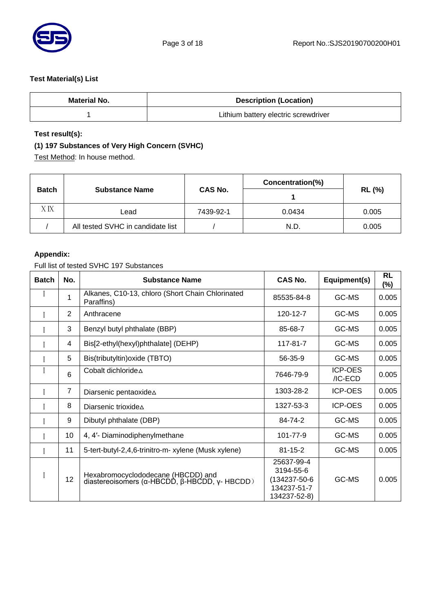

# **Test Material(s) List**

| <b>Material No.</b> | <b>Description (Location)</b>        |
|---------------------|--------------------------------------|
|                     | Lithium battery electric screwdriver |

# **Test result(s):**

# **(1) 197 Substances of Very High Concern (SVHC)**

Test Method: In house method.

|              |                                   |                | Concentration(%) | <b>RL (%)</b> |  |
|--------------|-----------------------------------|----------------|------------------|---------------|--|
| <b>Batch</b> | <b>Substance Name</b>             | <b>CAS No.</b> |                  |               |  |
| ХIX          | Lead                              | 7439-92-1      | 0.0434           | 0.005         |  |
|              | All tested SVHC in candidate list |                | N.D.             | 0.005         |  |

#### **Appendix:**

Full list of tested SVHC 197 Substances

| <b>Batch</b> | No.            | <b>Substance Name</b>                                                               | <b>CAS No.</b>                                                         | Equipment(s)              | <b>RL</b><br>$(\%)$ |
|--------------|----------------|-------------------------------------------------------------------------------------|------------------------------------------------------------------------|---------------------------|---------------------|
|              | 1              | Alkanes, C10-13, chloro (Short Chain Chlorinated<br>Paraffins)                      | 85535-84-8                                                             | GC-MS                     | 0.005               |
|              | 2              | Anthracene                                                                          | 120-12-7                                                               | GC-MS                     | 0.005               |
|              | 3              | Benzyl butyl phthalate (BBP)                                                        | 85-68-7                                                                | GC-MS                     | 0.005               |
|              | 4              | Bis[2-ethyl(hexyl)phthalate] (DEHP)                                                 | 117-81-7                                                               | GC-MS                     | 0.005               |
|              | 5              | Bis(tributyltin) oxide (TBTO)                                                       | 56-35-9                                                                | GC-MS                     | 0.005               |
|              | 6              | Cobalt dichloride∆                                                                  | 7646-79-9                                                              | <b>ICP-OES</b><br>/IC-ECD | 0.005               |
|              | $\overline{7}$ | Diarsenic pentaoxide A                                                              | 1303-28-2                                                              | <b>ICP-OES</b>            | 0.005               |
|              | 8              | Diarsenic trioxide $\Delta$                                                         | 1327-53-3                                                              | <b>ICP-OES</b>            | 0.005               |
|              | 9              | Dibutyl phthalate (DBP)                                                             | 84-74-2                                                                | GC-MS                     | 0.005               |
|              | 10             | 4, 4'- Diaminodiphenylmethane                                                       | 101-77-9                                                               | GC-MS                     | 0.005               |
|              | 11             | 5-tert-butyl-2,4,6-trinitro-m- xylene (Musk xylene)                                 | $81 - 15 - 2$                                                          | GC-MS                     | 0.005               |
|              | 12             | Hexabromocyclododecane (HBCDD) and<br>diastereoisomers (α-HBCDD, β-HBCDD, γ- HBCDD) | 25637-99-4<br>3194-55-6<br>(134237-50-6<br>134237-51-7<br>134237-52-8) | GC-MS                     | 0.005               |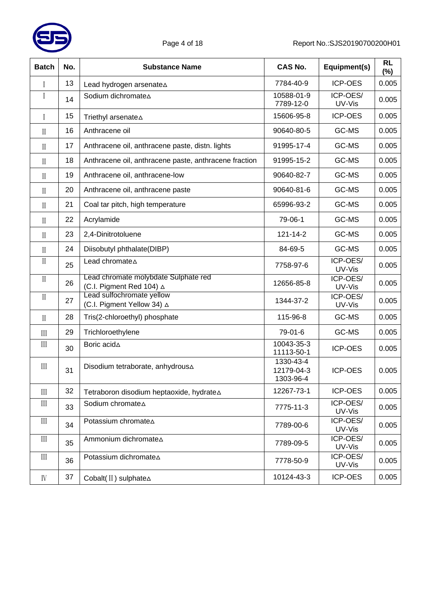

| <b>Batch</b>                     | No. | <b>Substance Name</b>                                            | <b>CAS No.</b>                       | Equipment(s)       | <b>RL</b><br>$(\%)$ |
|----------------------------------|-----|------------------------------------------------------------------|--------------------------------------|--------------------|---------------------|
| I                                | 13  | Lead hydrogen arsenateA                                          | 7784-40-9                            | <b>ICP-OES</b>     | 0.005               |
| I                                | 14  | Sodium dichromate A                                              | 10588-01-9<br>7789-12-0              | ICP-OES/<br>UV-Vis | 0.005               |
| I                                | 15  | Triethyl arsenate A                                              | 15606-95-8                           | <b>ICP-OES</b>     | 0.005               |
| $\mathcal{I}$                    | 16  | Anthracene oil                                                   | 90640-80-5                           | GC-MS              | 0.005               |
| $\prod$                          | 17  | Anthracene oil, anthracene paste, distn. lights                  | 91995-17-4                           | GC-MS              | 0.005               |
| $\mathcal{I}$                    | 18  | Anthracene oil, anthracene paste, anthracene fraction            | 91995-15-2                           | GC-MS              | 0.005               |
| $\mathbf{I}$                     | 19  | Anthracene oil, anthracene-low                                   | 90640-82-7                           | GC-MS              | 0.005               |
| $\mathbf{I}$                     | 20  | Anthracene oil, anthracene paste                                 | 90640-81-6                           | GC-MS              | 0.005               |
| $\mathcal{I}$                    | 21  | Coal tar pitch, high temperature                                 | 65996-93-2                           | GC-MS              | 0.005               |
| $\mathbf{I}$                     | 22  | Acrylamide                                                       | 79-06-1                              | GC-MS              | 0.005               |
| $\mathcal{I}$                    | 23  | 2,4-Dinitrotoluene                                               | 121-14-2                             | GC-MS              | 0.005               |
| $\mathcal{I}$                    | 24  | Diisobutyl phthalate(DIBP)                                       | 84-69-5                              | GC-MS              | 0.005               |
| $\mathcal{I}$                    | 25  | Lead chromate A                                                  | 7758-97-6                            | ICP-OES/<br>UV-Vis | 0.005               |
| $\mathbf I$                      | 26  | Lead chromate molybdate Sulphate red<br>(C.I. Pigment Red 104) ∆ | 12656-85-8                           | ICP-OES/<br>UV-Vis | 0.005               |
| $\rm II$                         | 27  | Lead sulfochromate yellow<br>(C.I. Pigment Yellow 34) △          | 1344-37-2                            | ICP-OES/<br>UV-Vis | 0.005               |
| $\prod$                          | 28  | Tris(2-chloroethyl) phosphate                                    | 115-96-8                             | GC-MS              | 0.005               |
| $\mathop{\mathrm{III}}\nolimits$ | 29  | Trichloroethylene                                                | 79-01-6                              | GC-MS              | 0.005               |
| III                              | 30  | Boric acidA                                                      | 10043-35-3<br>11113-50-1             | <b>ICP-OES</b>     | 0.005               |
| $\mathop{\mathrm{III}}\nolimits$ | 31  | Disodium tetraborate, anhydrous A                                | 1330-43-4<br>12179-04-3<br>1303-96-4 | <b>ICP-OES</b>     | 0.005               |
| $\mathop{\mathrm{III}}\nolimits$ | 32  | Tetraboron disodium heptaoxide, hydrate∆                         | 12267-73-1                           | <b>ICP-OES</b>     | 0.005               |
| III                              | 33  | Sodium chromateA                                                 | 7775-11-3                            | ICP-OES/<br>UV-Vis | 0.005               |
| III                              | 34  | Potassium chromate A                                             | 7789-00-6                            | ICP-OES/<br>UV-Vis | 0.005               |
| III                              | 35  | Ammonium dichromateA                                             | 7789-09-5                            | ICP-OES/<br>UV-Vis | 0.005               |
| $\mathop{\rm III}\nolimits$      | 36  | Potassium dichromateA                                            | 7778-50-9                            | ICP-OES/<br>UV-Vis | 0.005               |
| IV                               | 37  | Cobalt(II) sulphate∆                                             | 10124-43-3                           | ICP-OES            | 0.005               |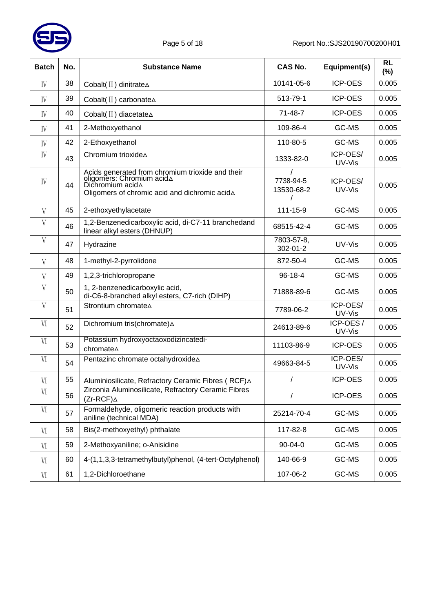

| <b>Batch</b> | No. | <b>Substance Name</b>                                                                                                                                     | <b>CAS No.</b>          | Equipment(s)       | <b>RL</b><br>(%) |
|--------------|-----|-----------------------------------------------------------------------------------------------------------------------------------------------------------|-------------------------|--------------------|------------------|
| IV           | 38  | Cobalt(II) dinitrate A                                                                                                                                    | 10141-05-6              | <b>ICP-OES</b>     | 0.005            |
| IV           | 39  | Cobalt(II) carbonate A                                                                                                                                    | 513-79-1                | <b>ICP-OES</b>     | 0.005            |
| IV           | 40  | Cobalt(II) diacetate∆                                                                                                                                     | $71 - 48 - 7$           | <b>ICP-OES</b>     | 0.005            |
| IV           | 41  | 2-Methoxyethanol                                                                                                                                          | 109-86-4                | GC-MS              | 0.005            |
| IV           | 42  | 2-Ethoxyethanol                                                                                                                                           | 110-80-5                | GC-MS              | 0.005            |
| IV           | 43  | Chromium trioxide A                                                                                                                                       | 1333-82-0               | ICP-OES/<br>UV-Vis | 0.005            |
| IV           | 44  | Acids generated from chromium trioxide and their<br>oligomers: Chromium $acid\Delta$<br>Dichromium acid∆<br>Oligomers of chromic acid and dichromic acidA | 7738-94-5<br>13530-68-2 | ICP-OES/<br>UV-Vis | 0.005            |
| V            | 45  | 2-ethoxyethylacetate                                                                                                                                      | 111-15-9                | GC-MS              | 0.005            |
| V            | 46  | 1,2-Benzenedicarboxylic acid, di-C7-11 branchedand<br>linear alkyl esters (DHNUP)                                                                         | 68515-42-4              | GC-MS              | 0.005            |
| $\mathbf V$  | 47  | Hydrazine                                                                                                                                                 | 7803-57-8,<br>302-01-2  | UV-Vis             | 0.005            |
| V            | 48  | 1-methyl-2-pyrrolidone                                                                                                                                    | 872-50-4                | GC-MS              | 0.005            |
| V            | 49  | 1,2,3-trichloropropane                                                                                                                                    | $96 - 18 - 4$           | GC-MS              | 0.005            |
| V            | 50  | 1, 2-benzenedicarboxylic acid,<br>di-C6-8-branched alkyl esters, C7-rich (DIHP)                                                                           | 71888-89-6              | GC-MS              | 0.005            |
| V            | 51  | Strontium chromate A                                                                                                                                      | 7789-06-2               | ICP-OES/<br>UV-Vis | 0.005            |
| VI           | 52  | Dichromium tris(chromate) A                                                                                                                               | 24613-89-6              | ICP-OES/<br>UV-Vis | 0.005            |
| VI           | 53  | Potassium hydroxyoctaoxodizincatedi-<br>chromate∆                                                                                                         | 11103-86-9              | <b>ICP-OES</b>     | 0.005            |
| VI           | 54  | Pentazinc chromate octahydroxide A                                                                                                                        | 49663-84-5              | ICP-OES/<br>UV-Vis | 0.005            |
| VI           | 55  | Aluminiosilicate, Refractory Ceramic Fibres (RCF)△                                                                                                        | 7                       | <b>ICP-OES</b>     | 0.005            |
| VI           | 56  | Zirconia Aluminosilicate, Refractory Ceramic Fibres<br>$(Zr-RCF)$ $\triangle$                                                                             | /                       | <b>ICP-OES</b>     | 0.005            |
| VI           | 57  | Formaldehyde, oligomeric reaction products with<br>aniline (technical MDA)                                                                                | 25214-70-4              | GC-MS              | 0.005            |
| VI           | 58  | Bis(2-methoxyethyl) phthalate                                                                                                                             | 117-82-8                | GC-MS              | 0.005            |
| VI           | 59  | 2-Methoxyaniline; o-Anisidine                                                                                                                             | 90-04-0                 | GC-MS              | 0.005            |
| VI           | 60  | 4-(1,1,3,3-tetramethylbutyl)phenol, (4-tert-Octylphenol)                                                                                                  | 140-66-9                | GC-MS              | 0.005            |
| VI           | 61  | 1,2-Dichloroethane                                                                                                                                        | 107-06-2                | GC-MS              | 0.005            |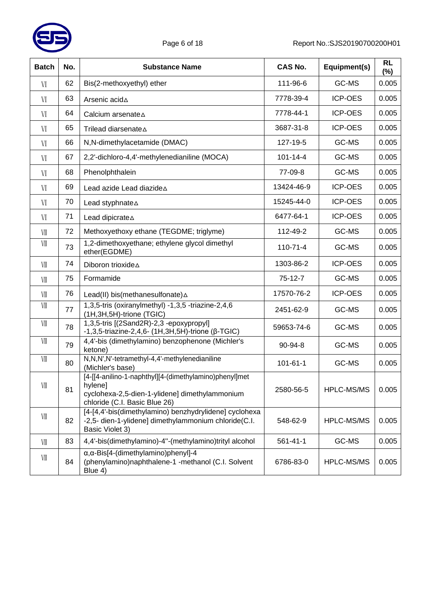

| <b>Batch</b> | No. | <b>Substance Name</b>                                                                                                                                | <b>CAS No.</b> | Equipment(s)      | <b>RL</b><br>$(\%)$ |
|--------------|-----|------------------------------------------------------------------------------------------------------------------------------------------------------|----------------|-------------------|---------------------|
| VI           | 62  | Bis(2-methoxyethyl) ether                                                                                                                            | 111-96-6       | GC-MS             | 0.005               |
| VI           | 63  | Arsenic acidA                                                                                                                                        | 7778-39-4      | <b>ICP-OES</b>    | 0.005               |
| VI           | 64  | Calcium arsenate A                                                                                                                                   | 7778-44-1      | <b>ICP-OES</b>    | 0.005               |
| VI           | 65  | Trilead diarsenateA                                                                                                                                  | 3687-31-8      | <b>ICP-OES</b>    | 0.005               |
| VI           | 66  | N,N-dimethylacetamide (DMAC)                                                                                                                         | 127-19-5       | GC-MS             | 0.005               |
| VI           | 67  | 2,2'-dichloro-4,4'-methylenedianiline (MOCA)                                                                                                         | $101 - 14 - 4$ | GC-MS             | 0.005               |
| VI           | 68  | Phenolphthalein                                                                                                                                      | 77-09-8        | GC-MS             | 0.005               |
| VI           | 69  | Lead azide Lead diazide A                                                                                                                            | 13424-46-9     | <b>ICP-OES</b>    | 0.005               |
| VI           | 70  | Lead styphnate A                                                                                                                                     | 15245-44-0     | <b>ICP-OES</b>    | 0.005               |
| VI           | 71  | Lead dipicrate A                                                                                                                                     | 6477-64-1      | <b>ICP-OES</b>    | 0.005               |
| VII          | 72  | Methoxyethoxy ethane (TEGDME; triglyme)                                                                                                              | 112-49-2       | GC-MS             | 0.005               |
| VII          | 73  | 1,2-dimethoxyethane; ethylene glycol dimethyl<br>ether(EGDME)                                                                                        | $110 - 71 - 4$ | GC-MS             | 0.005               |
| VII          | 74  | Diboron trioxide A                                                                                                                                   | 1303-86-2      | <b>ICP-OES</b>    | 0.005               |
| VII          | 75  | Formamide                                                                                                                                            | 75-12-7        | GC-MS             | 0.005               |
| VII          | 76  | Lead(II) bis(methanesulfonate) $\Delta$                                                                                                              | 17570-76-2     | <b>ICP-OES</b>    | 0.005               |
| VII          | 77  | 1,3,5-tris (oxiranylmethyl) -1,3,5 -triazine-2,4,6<br>(1H, 3H, 5H)-trione (TGIC)                                                                     | 2451-62-9      | GC-MS             | 0.005               |
| VII          | 78  | 1,3,5-tris [(2Sand2R)-2,3 -epoxypropyl]<br>$-1,3,5$ -triazine-2,4,6- (1H,3H,5H)-trione (β-TGIC)                                                      | 59653-74-6     | GC-MS             | 0.005               |
| VII          | 79  | 4,4'-bis (dimethylamino) benzophenone (Michler's<br>ketone)                                                                                          | 90-94-8        | GC-MS             | 0.005               |
| VII          | 80  | N,N,N',N'-tetramethyl-4,4'-methylenedianiline<br>(Michler's base)                                                                                    | $101 - 61 - 1$ | GC-MS             | 0.005               |
| VII          | 81  | [4-[[4-anilino-1-naphthyl][4-(dimethylamino)phenyl]met<br>hylenel<br>cyclohexa-2,5-dien-1-ylidene] dimethylammonium<br>chloride (C.I. Basic Blue 26) | 2580-56-5      | HPLC-MS/MS        | 0.005               |
| VII          | 82  | [4-[4,4'-bis(dimethylamino) benzhydrylidene] cyclohexa<br>-2,5- dien-1-ylidene] dimethylammonium chloride(C.I.<br>Basic Violet 3)                    | 548-62-9       | <b>HPLC-MS/MS</b> | 0.005               |
| VII          | 83  | 4,4'-bis(dimethylamino)-4"-(methylamino)trityl alcohol                                                                                               | $561 - 41 - 1$ | GC-MS             | 0.005               |
| VII          | 84  | $\alpha$ , $\alpha$ -Bis[4-(dimethylamino)phenyl]-4<br>(phenylamino)naphthalene-1 -methanol (C.I. Solvent<br>Blue 4)                                 | 6786-83-0      | HPLC-MS/MS        | 0.005               |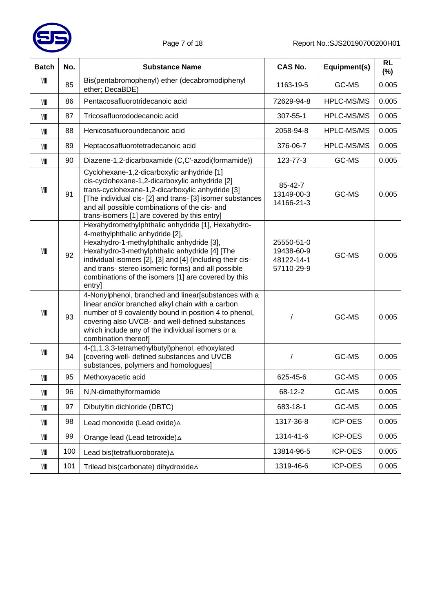

| <b>Batch</b> | No. | <b>Substance Name</b>                                                                                                                                                                                                                                                                                                                                                  | <b>CAS No.</b>                                       | Equipment(s)      | <b>RL</b><br>$(\%)$ |
|--------------|-----|------------------------------------------------------------------------------------------------------------------------------------------------------------------------------------------------------------------------------------------------------------------------------------------------------------------------------------------------------------------------|------------------------------------------------------|-------------------|---------------------|
| VIII         | 85  | Bis(pentabromophenyl) ether (decabromodiphenyl<br>ether; DecaBDE)                                                                                                                                                                                                                                                                                                      | 1163-19-5                                            | GC-MS             | 0.005               |
| VIII         | 86  | Pentacosafluorotridecanoic acid                                                                                                                                                                                                                                                                                                                                        | 72629-94-8                                           | <b>HPLC-MS/MS</b> | 0.005               |
| VIII         | 87  | Tricosafluorododecanoic acid                                                                                                                                                                                                                                                                                                                                           | 307-55-1                                             | HPLC-MS/MS        | 0.005               |
| VIII         | 88  | Henicosafluoroundecanoic acid                                                                                                                                                                                                                                                                                                                                          | 2058-94-8                                            | HPLC-MS/MS        | 0.005               |
| VIII         | 89  | Heptacosafluorotetradecanoic acid                                                                                                                                                                                                                                                                                                                                      | 376-06-7                                             | <b>HPLC-MS/MS</b> | 0.005               |
| VIII         | 90  | Diazene-1,2-dicarboxamide (C,C'-azodi(formamide))                                                                                                                                                                                                                                                                                                                      | 123-77-3                                             | GC-MS             | 0.005               |
| VIII         | 91  | Cyclohexane-1,2-dicarboxylic anhydride [1]<br>cis-cyclohexane-1,2-dicarboxylic anhydride [2]<br>trans-cyclohexane-1,2-dicarboxylic anhydride [3]<br>[The individual cis- [2] and trans- [3] isomer substances<br>and all possible combinations of the cis- and<br>trans-isomers [1] are covered by this entry]                                                         | 85-42-7<br>13149-00-3<br>14166-21-3                  | GC-MS             | 0.005               |
| VIII         | 92  | Hexahydromethylphthalic anhydride [1], Hexahydro-<br>4-methylphthalic anhydride [2],<br>Hexahydro-1-methylphthalic anhydride [3],<br>Hexahydro-3-methylphthalic anhydride [4] [The<br>individual isomers [2], [3] and [4] (including their cis-<br>and trans- stereo isomeric forms) and all possible<br>combinations of the isomers [1] are covered by this<br>entry] | 25550-51-0<br>19438-60-9<br>48122-14-1<br>57110-29-9 | GC-MS             | 0.005               |
| VIII         | 93  | 4-Nonylphenol, branched and linear[substances with a<br>linear and/or branched alkyl chain with a carbon<br>number of 9 covalently bound in position 4 to phenol,<br>covering also UVCB- and well-defined substances<br>which include any of the individual isomers or a<br>combination thereof]                                                                       |                                                      | GC-MS             | 0.005               |
| VIII         | 94  | 4-(1,1,3,3-tetramethylbutyl)phenol, ethoxylated<br>[covering well- defined substances and UVCB<br>substances, polymers and homologues]                                                                                                                                                                                                                                 |                                                      | GC-MS             | 0.005               |
| VIII         | 95  | Methoxyacetic acid                                                                                                                                                                                                                                                                                                                                                     | 625-45-6                                             | GC-MS             | 0.005               |
| VIII         | 96  | N,N-dimethylformamide                                                                                                                                                                                                                                                                                                                                                  | 68-12-2                                              | GC-MS             | 0.005               |
| VIII         | 97  | Dibutyltin dichloride (DBTC)                                                                                                                                                                                                                                                                                                                                           | 683-18-1                                             | GC-MS             | 0.005               |
| VIII         | 98  | Lead monoxide (Lead oxide) A                                                                                                                                                                                                                                                                                                                                           | 1317-36-8                                            | ICP-OES           | 0.005               |
| VIII         | 99  | Orange lead (Lead tetroxide) A                                                                                                                                                                                                                                                                                                                                         | 1314-41-6                                            | ICP-OES           | 0.005               |
| VIII         | 100 | Lead bis(tetrafluoroborate) A                                                                                                                                                                                                                                                                                                                                          | 13814-96-5                                           | ICP-OES           | 0.005               |
| VIII         | 101 | Trilead bis(carbonate) dihydroxide∆                                                                                                                                                                                                                                                                                                                                    | 1319-46-6                                            | ICP-OES           | 0.005               |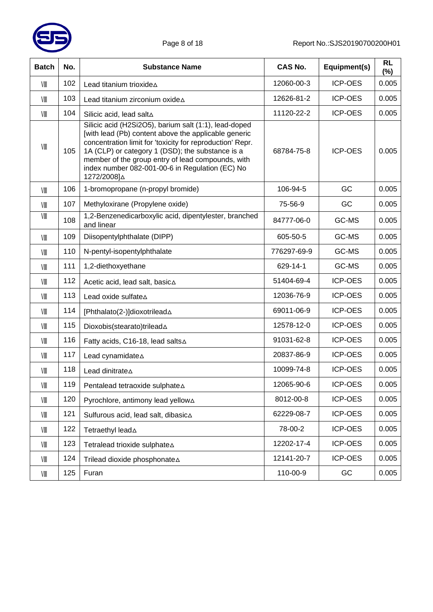

| <b>Batch</b> | No. | <b>Substance Name</b>                                                                                                                                                                                                                                                                                                                                 | <b>CAS No.</b> | Equipment(s)   | <b>RL</b><br>$(\%)$ |
|--------------|-----|-------------------------------------------------------------------------------------------------------------------------------------------------------------------------------------------------------------------------------------------------------------------------------------------------------------------------------------------------------|----------------|----------------|---------------------|
| VIII         | 102 | Lead titanium trioxide∆                                                                                                                                                                                                                                                                                                                               | 12060-00-3     | <b>ICP-OES</b> | 0.005               |
| VIII         | 103 | Lead titanium zirconium oxide A                                                                                                                                                                                                                                                                                                                       | 12626-81-2     | <b>ICP-OES</b> | 0.005               |
| VIII         | 104 | Silicic acid, lead salt∆                                                                                                                                                                                                                                                                                                                              | 11120-22-2     | <b>ICP-OES</b> | 0.005               |
| VIII         | 105 | Silicic acid (H2Si2O5), barium salt (1:1), lead-doped<br>[with lead (Pb) content above the applicable generic<br>concentration limit for 'toxicity for reproduction' Repr.<br>1A (CLP) or category 1 (DSD); the substance is a<br>member of the group entry of lead compounds, with<br>index number 082-001-00-6 in Regulation (EC) No<br>1272/2008]∆ | 68784-75-8     | <b>ICP-OES</b> | 0.005               |
| VIII         | 106 | 1-bromopropane (n-propyl bromide)                                                                                                                                                                                                                                                                                                                     | 106-94-5       | GC             | 0.005               |
| VIII         | 107 | Methyloxirane (Propylene oxide)                                                                                                                                                                                                                                                                                                                       | 75-56-9        | GC             | 0.005               |
| VIII         | 108 | 1,2-Benzenedicarboxylic acid, dipentylester, branched<br>and linear                                                                                                                                                                                                                                                                                   | 84777-06-0     | GC-MS          | 0.005               |
| VIII         | 109 | Diisopentylphthalate (DIPP)                                                                                                                                                                                                                                                                                                                           | 605-50-5       | GC-MS          | 0.005               |
| VIII         | 110 | N-pentyl-isopentylphthalate                                                                                                                                                                                                                                                                                                                           | 776297-69-9    | GC-MS          | 0.005               |
| VIII         | 111 | 1,2-diethoxyethane                                                                                                                                                                                                                                                                                                                                    | 629-14-1       | GC-MS          | 0.005               |
| VIII         | 112 | Acetic acid, lead salt, basic∆                                                                                                                                                                                                                                                                                                                        | 51404-69-4     | <b>ICP-OES</b> | 0.005               |
| VIII         | 113 | Lead oxide sulfate A                                                                                                                                                                                                                                                                                                                                  | 12036-76-9     | <b>ICP-OES</b> | 0.005               |
| VIII         | 114 | [Phthalato(2-)]dioxotrilead A                                                                                                                                                                                                                                                                                                                         | 69011-06-9     | <b>ICP-OES</b> | 0.005               |
| VIII         | 115 | Dioxobis(stearato)trilead A                                                                                                                                                                                                                                                                                                                           | 12578-12-0     | <b>ICP-OES</b> | 0.005               |
| VIII         | 116 | Fatty acids, C16-18, lead salts∆                                                                                                                                                                                                                                                                                                                      | 91031-62-8     | <b>ICP-OES</b> | 0.005               |
| VIII         | 117 | Lead cynamidate A                                                                                                                                                                                                                                                                                                                                     | 20837-86-9     | <b>ICP-OES</b> | 0.005               |
| VIII         | 118 | Lead dinitrate A                                                                                                                                                                                                                                                                                                                                      | 10099-74-8     | <b>ICP-OES</b> | 0.005               |
| VIII         | 119 | Pentalead tetraoxide sulphate∆                                                                                                                                                                                                                                                                                                                        | 12065-90-6     | ICP-OES        | 0.005               |
| VIII         | 120 | Pyrochlore, antimony lead yellow∆                                                                                                                                                                                                                                                                                                                     | 8012-00-8      | ICP-OES        | 0.005               |
| VIII         | 121 | Sulfurous acid, lead salt, dibasic∆                                                                                                                                                                                                                                                                                                                   | 62229-08-7     | ICP-OES        | 0.005               |
| VIII         | 122 | Tetraethyl lead A                                                                                                                                                                                                                                                                                                                                     | 78-00-2        | ICP-OES        | 0.005               |
| VIII         | 123 | Tetralead trioxide sulphate∆                                                                                                                                                                                                                                                                                                                          | 12202-17-4     | ICP-OES        | 0.005               |
| VIII         | 124 | Trilead dioxide phosphonate A                                                                                                                                                                                                                                                                                                                         | 12141-20-7     | ICP-OES        | 0.005               |
| VIII         | 125 | Furan                                                                                                                                                                                                                                                                                                                                                 | 110-00-9       | GC             | 0.005               |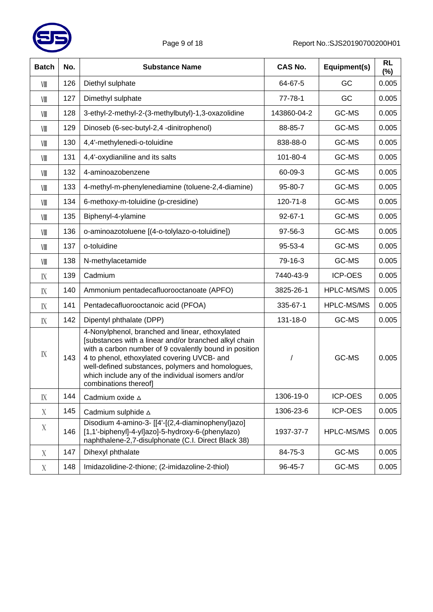

| <b>Batch</b> | No. | <b>Substance Name</b>                                                                                                                                                                                                                                                                                                                                 | <b>CAS No.</b> | Equipment(s)      | <b>RL</b><br>$(\%)$ |
|--------------|-----|-------------------------------------------------------------------------------------------------------------------------------------------------------------------------------------------------------------------------------------------------------------------------------------------------------------------------------------------------------|----------------|-------------------|---------------------|
| VIII         | 126 | Diethyl sulphate                                                                                                                                                                                                                                                                                                                                      | 64-67-5        | GC                | 0.005               |
| VIII         | 127 | Dimethyl sulphate                                                                                                                                                                                                                                                                                                                                     | 77-78-1        | GC                | 0.005               |
| VIII         | 128 | 3-ethyl-2-methyl-2-(3-methylbutyl)-1,3-oxazolidine                                                                                                                                                                                                                                                                                                    | 143860-04-2    | GC-MS             | 0.005               |
| VIII         | 129 | Dinoseb (6-sec-butyl-2,4 -dinitrophenol)                                                                                                                                                                                                                                                                                                              | 88-85-7        | GC-MS             | 0.005               |
| VIII         | 130 | 4,4'-methylenedi-o-toluidine                                                                                                                                                                                                                                                                                                                          | 838-88-0       | GC-MS             | 0.005               |
| VIII         | 131 | 4,4'-oxydianiline and its salts                                                                                                                                                                                                                                                                                                                       | 101-80-4       | GC-MS             | 0.005               |
| VIII         | 132 | 4-aminoazobenzene                                                                                                                                                                                                                                                                                                                                     | 60-09-3        | GC-MS             | 0.005               |
| VIII         | 133 | 4-methyl-m-phenylenediamine (toluene-2,4-diamine)                                                                                                                                                                                                                                                                                                     | 95-80-7        | GC-MS             | 0.005               |
| VIII         | 134 | 6-methoxy-m-toluidine (p-cresidine)                                                                                                                                                                                                                                                                                                                   | 120-71-8       | GC-MS             | 0.005               |
| VIII         | 135 | Biphenyl-4-ylamine                                                                                                                                                                                                                                                                                                                                    | $92 - 67 - 1$  | GC-MS             | 0.005               |
| VIII         | 136 | o-aminoazotoluene [(4-o-tolylazo-o-toluidine])                                                                                                                                                                                                                                                                                                        | 97-56-3        | GC-MS             | 0.005               |
| VIII         | 137 | o-toluidine                                                                                                                                                                                                                                                                                                                                           | 95-53-4        | GC-MS             | 0.005               |
| VIII         | 138 | N-methylacetamide                                                                                                                                                                                                                                                                                                                                     | 79-16-3        | GC-MS             | 0.005               |
| $\rm I\!X$   | 139 | Cadmium                                                                                                                                                                                                                                                                                                                                               | 7440-43-9      | <b>ICP-OES</b>    | 0.005               |
| $\rm I\!X$   | 140 | Ammonium pentadecafluorooctanoate (APFO)                                                                                                                                                                                                                                                                                                              | 3825-26-1      | HPLC-MS/MS        | 0.005               |
| $\rm I\!X$   | 141 | Pentadecafluorooctanoic acid (PFOA)                                                                                                                                                                                                                                                                                                                   | 335-67-1       | <b>HPLC-MS/MS</b> | 0.005               |
| $\rm I\!X$   | 142 | Dipentyl phthalate (DPP)                                                                                                                                                                                                                                                                                                                              | 131-18-0       | GC-MS             | 0.005               |
| $\rm I\!X$   | 143 | 4-Nonylphenol, branched and linear, ethoxylated<br>[substances with a linear and/or branched alkyl chain<br>with a carbon number of 9 covalently bound in position<br>4 to phenol, ethoxylated covering UVCB- and<br>well-defined substances, polymers and homologues,<br>which include any of the individual isomers and/or<br>combinations thereof] |                | GC-MS             | 0.005               |
| $\rm I\!X$   | 144 | Cadmium oxide A                                                                                                                                                                                                                                                                                                                                       | 1306-19-0      | <b>ICP-OES</b>    | 0.005               |
| X            | 145 | Cadmium sulphide A                                                                                                                                                                                                                                                                                                                                    | 1306-23-6      | <b>ICP-OES</b>    | 0.005               |
| X            | 146 | Disodium 4-amino-3- [[4'-[(2,4-diaminophenyl)azo]<br>[1,1'-biphenyl]-4-yl]azo]-5-hydroxy-6-(phenylazo)<br>naphthalene-2,7-disulphonate (C.I. Direct Black 38)                                                                                                                                                                                         | 1937-37-7      | <b>HPLC-MS/MS</b> | 0.005               |
| X            | 147 | Dihexyl phthalate                                                                                                                                                                                                                                                                                                                                     | 84-75-3        | GC-MS             | 0.005               |
| X            | 148 | Imidazolidine-2-thione; (2-imidazoline-2-thiol)                                                                                                                                                                                                                                                                                                       | 96-45-7        | GC-MS             | 0.005               |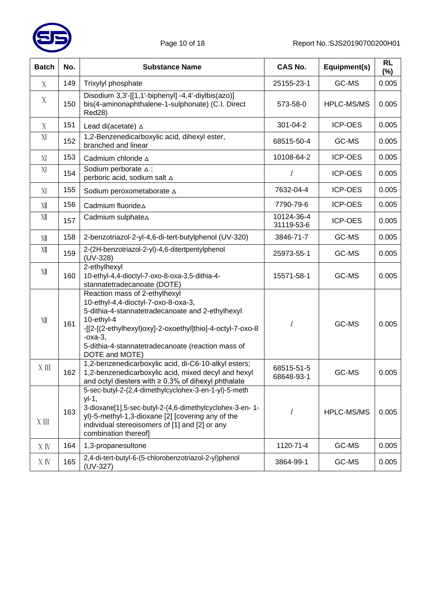

| <b>Batch</b> | No. | <b>Substance Name</b>                                                                                                                                                                                                                                                                    | <b>CAS No.</b>           | Equipment(s)      | <b>RL</b><br>$(\%)$ |
|--------------|-----|------------------------------------------------------------------------------------------------------------------------------------------------------------------------------------------------------------------------------------------------------------------------------------------|--------------------------|-------------------|---------------------|
| X            | 149 | Trixylyl phosphate                                                                                                                                                                                                                                                                       | 25155-23-1               | GC-MS             | 0.005               |
| X            | 150 | Disodium 3,3'-[[1,1'-biphenyl] -4,4'-diylbis(azo)]<br>bis(4-aminonaphthalene-1-sulphonate) (C.I. Direct<br><b>Red28)</b>                                                                                                                                                                 | 573-58-0                 | <b>HPLC-MS/MS</b> | 0.005               |
| X            | 151 | Lead di(acetate) A                                                                                                                                                                                                                                                                       | 301-04-2                 | ICP-OES           | 0.005               |
| XI           | 152 | 1,2-Benzenedicarboxylic acid, dihexyl ester,<br>branched and linear                                                                                                                                                                                                                      | 68515-50-4               | GC-MS             | 0.005               |
| XI           | 153 | Cadmium chloride $\triangle$                                                                                                                                                                                                                                                             | 10108-64-2               | <b>ICP-OES</b>    | 0.005               |
| XI           | 154 | Sodium perborate $\triangle$ ;<br>perboric acid, sodium salt △                                                                                                                                                                                                                           | $\prime$                 | <b>ICP-OES</b>    | 0.005               |
| XI           | 155 | Sodium peroxometaborate A                                                                                                                                                                                                                                                                | 7632-04-4                | <b>ICP-OES</b>    | 0.005               |
| XII          | 156 | Cadmium fluoride A                                                                                                                                                                                                                                                                       | 7790-79-6                | <b>ICP-OES</b>    | 0.005               |
| XII          | 157 | Cadmium sulphate A                                                                                                                                                                                                                                                                       | 10124-36-4<br>31119-53-6 | <b>ICP-OES</b>    | 0.005               |
| XII          | 158 | 2-benzotriazol-2-yl-4,6-di-tert-butylphenol (UV-320)                                                                                                                                                                                                                                     | 3846-71-7                | GC-MS             | 0.005               |
| XII          | 159 | 2-(2H-benzotriazol-2-yl)-4,6-ditertpentylphenol<br>(UV-328)                                                                                                                                                                                                                              | 25973-55-1               | GC-MS             | 0.005               |
| XII          | 160 | 2-ethylhexyl<br>10-ethyl-4,4-dioctyl-7-oxo-8-oxa-3,5-dithia-4-<br>stannatetradecanoate (DOTE)                                                                                                                                                                                            | 15571-58-1               | GC-MS             | 0.005               |
| XII          | 161 | Reaction mass of 2-ethylhexyl<br>10-ethyl-4,4-dioctyl-7-oxo-8-oxa-3,<br>5-dithia-4-stannatetradecanoate and 2-ethylhexyl<br>10-ethyl-4<br>-[[2-[(2-ethylhexyl)oxy]-2-oxoethyl]thio]-4-octyl-7-oxo-8<br>$-oxa-3$ ,<br>5-dithia-4-stannatetradecanoate (reaction mass of<br>DOTE and MOTE) |                          | GC-MS             | 0.005               |
| X III        | 162 | 1,2-benzenedicarboxylic acid, di-C6-10-alkyl esters;<br>1,2-benzenedicarboxylic acid, mixed decyl and hexyl<br>and octyl diesters with $\geq 0.3\%$ of dihexyl phthalate                                                                                                                 | 68515-51-5<br>68648-93-1 | GC-MS             | 0.005               |
| $X \n  III$  | 163 | 5-sec-butyl-2-(2,4-dimethylcyclohex-3-en-1-yl)-5-meth<br>$yI-1$ ,<br>3-dioxane[1],5-sec-butyl-2-(4,6-dimethylcyclohex-3-en-1-<br>yl)-5-methyl-1,3-dioxane [2] [covering any of the<br>individual stereoisomers of [1] and [2] or any<br>combination thereof]                             |                          | HPLC-MS/MS        | 0.005               |
| X IV         | 164 | 1,3-propanesultone                                                                                                                                                                                                                                                                       | 1120-71-4                | GC-MS             | 0.005               |
| X IV         | 165 | 2,4-di-tert-butyl-6-(5-chlorobenzotriazol-2-yl)phenol<br>(UV-327)                                                                                                                                                                                                                        | 3864-99-1                | GC-MS             | 0.005               |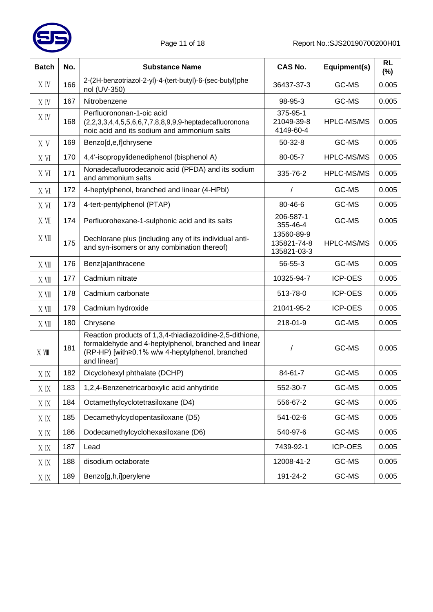

| <b>Batch</b> | No. | <b>Substance Name</b>                                                                                                                                                              | <b>CAS No.</b>                           | Equipment(s)      | <b>RL</b><br>$(\%)$ |
|--------------|-----|------------------------------------------------------------------------------------------------------------------------------------------------------------------------------------|------------------------------------------|-------------------|---------------------|
| X IV         | 166 | 2-(2H-benzotriazol-2-yl)-4-(tert-butyl)-6-(sec-butyl)phe<br>nol (UV-350)                                                                                                           | 36437-37-3                               | GC-MS             | 0.005               |
| X IV         | 167 | Nitrobenzene                                                                                                                                                                       | 98-95-3                                  | GC-MS             | 0.005               |
| X IV         | 168 | Perfluorononan-1-oic acid<br>(2,2,3,3,4,4,5,5,6,6,7,7,8,8,9,9,9-heptadecafluoronona<br>noic acid and its sodium and ammonium salts                                                 | 375-95-1<br>21049-39-8<br>4149-60-4      | HPLC-MS/MS        | 0.005               |
| X V          | 169 | Benzo[d,e,f]chrysene                                                                                                                                                               | $50-32-8$                                | GC-MS             | 0.005               |
| X VI         | 170 | 4,4'-isopropylidenediphenol (bisphenol A)                                                                                                                                          | 80-05-7                                  | HPLC-MS/MS        | 0.005               |
| X VI         | 171 | Nonadecafluorodecanoic acid (PFDA) and its sodium<br>and ammonium salts                                                                                                            | 335-76-2                                 | <b>HPLC-MS/MS</b> | 0.005               |
| X VI         | 172 | 4-heptylphenol, branched and linear (4-HPbl)                                                                                                                                       | $\prime$                                 | GC-MS             | 0.005               |
| X VI         | 173 | 4-tert-pentylphenol (PTAP)                                                                                                                                                         | 80-46-6                                  | GC-MS             | 0.005               |
| X VII        | 174 | Perfluorohexane-1-sulphonic acid and its salts                                                                                                                                     | 206-587-1<br>355-46-4                    | GC-MS             | 0.005               |
| X VIII       | 175 | Dechlorane plus (including any of its individual anti-<br>and syn-isomers or any combination thereof)                                                                              | 13560-89-9<br>135821-74-8<br>135821-03-3 | <b>HPLC-MS/MS</b> | 0.005               |
| X Ⅶ          | 176 | Benz[a]anthracene                                                                                                                                                                  | 56-55-3                                  | GC-MS             | 0.005               |
| X Ⅶ          | 177 | Cadmium nitrate                                                                                                                                                                    | 10325-94-7                               | <b>ICP-OES</b>    | 0.005               |
| X VIII       | 178 | Cadmium carbonate                                                                                                                                                                  | 513-78-0                                 | <b>ICP-OES</b>    | 0.005               |
| X Ⅶ          | 179 | Cadmium hydroxide                                                                                                                                                                  | 21041-95-2                               | <b>ICP-OES</b>    | 0.005               |
| X VIII       | 180 | Chrysene                                                                                                                                                                           | 218-01-9                                 | GC-MS             | 0.005               |
| X Ⅶ          | 181 | Reaction products of 1,3,4-thiadiazolidine-2,5-dithione,<br>formaldehyde and 4-heptylphenol, branched and linear<br>(RP-HP) [with≥0.1% w/w 4-heptylphenol, branched<br>and linear] | $\prime$                                 | GC-MS             | 0.005               |
| X IX         | 182 | Dicyclohexyl phthalate (DCHP)                                                                                                                                                      | 84-61-7                                  | GC-MS             | 0.005               |
| X IX         | 183 | 1,2,4-Benzenetricarboxylic acid anhydride                                                                                                                                          | 552-30-7                                 | GC-MS             | 0.005               |
| X IX         | 184 | Octamethylcyclotetrasiloxane (D4)                                                                                                                                                  | 556-67-2                                 | GC-MS             | 0.005               |
| X IX         | 185 | Decamethylcyclopentasiloxane (D5)                                                                                                                                                  | 541-02-6                                 | GC-MS             | 0.005               |
| X IX         | 186 | Dodecamethylcyclohexasiloxane (D6)                                                                                                                                                 | 540-97-6                                 | GC-MS             | 0.005               |
| X IX         | 187 | Lead                                                                                                                                                                               | 7439-92-1                                | <b>ICP-OES</b>    | 0.005               |
| X IX         | 188 | disodium octaborate                                                                                                                                                                | 12008-41-2                               | GC-MS             | 0.005               |
| X IX         | 189 | Benzo[g,h,i]perylene                                                                                                                                                               | 191-24-2                                 | GC-MS             | 0.005               |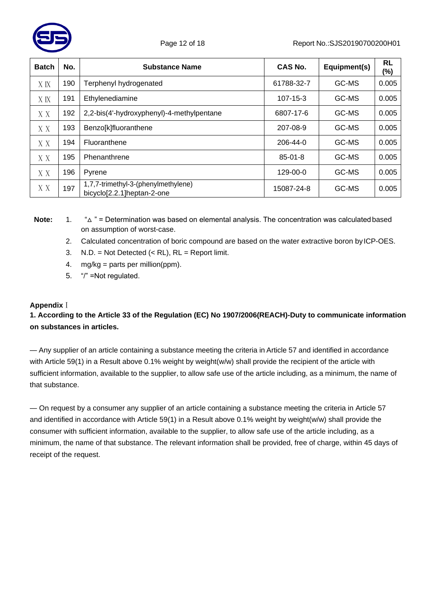

| <b>Batch</b> | No. | <b>Substance Name</b>                                             | CAS No.        | Equipment(s) | <b>RL</b><br>(%) |
|--------------|-----|-------------------------------------------------------------------|----------------|--------------|------------------|
| X IX         | 190 | Terphenyl hydrogenated                                            | 61788-32-7     | GC-MS        | 0.005            |
| X IX         | 191 | Ethylenediamine                                                   | $107 - 15 - 3$ | GC-MS        | 0.005            |
| X X          | 192 | 2,2-bis(4'-hydroxyphenyl)-4-methylpentane                         | 6807-17-6      | GC-MS        | 0.005            |
| X X          | 193 | Benzo[k]fluoranthene                                              | 207-08-9       | GC-MS        | 0.005            |
| X X          | 194 | Fluoranthene                                                      | 206-44-0       | GC-MS        | 0.005            |
| X X          | 195 | Phenanthrene                                                      | $85 - 01 - 8$  | GC-MS        | 0.005            |
| X X          | 196 | Pyrene                                                            | 129-00-0       | GC-MS        | 0.005            |
| X X          | 197 | 1,7,7-trimethyl-3-(phenylmethylene)<br>bicyclo[2.2.1]heptan-2-one | 15087-24-8     | GC-MS        | 0.005            |

**Note:** 1. "△ " = Determination was based on elemental analysis. The concentration was calculatedbased on assumption of worst-case.

- 2. Calculated concentration of boric compound are based on the water extractive boron byICP-OES.
- 3.  $N.D. = Not detected (< RL), RL = Report limit.$
- 4.  $mg/kg =$  parts per million(ppm).
- 5. "/" =Not regulated.

#### **Appendix**Ⅰ

# **1. According to the Article 33 of the Regulation (EC) No 1907/2006(REACH)-Duty to communicate information on substances in articles.**

— Any supplier of an article containing a substance meeting the criteria in Article 57 and identified in accordance with Article 59(1) in a Result above 0.1% weight by weight(w/w) shall provide the recipient of the article with sufficient information, available to the supplier, to allow safe use of the article including, as a minimum, the name of that substance.

— On request by a consumer any supplier of an article containing a substance meeting the criteria in Article 57 and identified in accordance with Article 59(1) in a Result above 0.1% weight by weight(w/w) shall provide the consumer with sufficient information, available to the supplier, to allow safe use of the article including, as a minimum, the name of that substance. The relevant information shall be provided, free of charge, within 45 days of receipt of the request.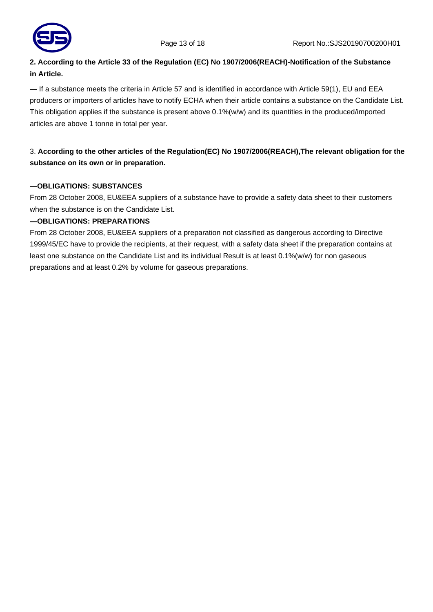

# **2. According to the Article 33 of the Regulation (EC) No 1907/2006(REACH)-Notification of the Substance in Article.**

— If a substance meets the criteria in Article 57 and is identified in accordance with Article 59(1), EU and EEA producers or importers of articles have to notify ECHA when their article contains a substance on the Candidate List. This obligation applies if the substance is present above 0.1%(w/w) and its quantities in the produced/imported articles are above 1 tonne in total per year.

# 3. **According to the other articles of the Regulation(EC) No 1907/2006(REACH),The relevant obligation for the substance on its own or in preparation.**

#### **—OBLIGATIONS: SUBSTANCES**

From 28 October 2008, EU&EEA suppliers of a substance have to provide a safety data sheet to their customers when the substance is on the Candidate List.

#### **—OBLIGATIONS: PREPARATIONS**

From 28 October 2008, EU&EEA suppliers of a preparation not classified as dangerous according to Directive 1999/45/EC have to provide the recipients, at their request, with a safety data sheet if the preparation contains at least one substance on the Candidate List and its individual Result is at least 0.1%(w/w) for non gaseous preparations and at least 0.2% by volume for gaseous preparations.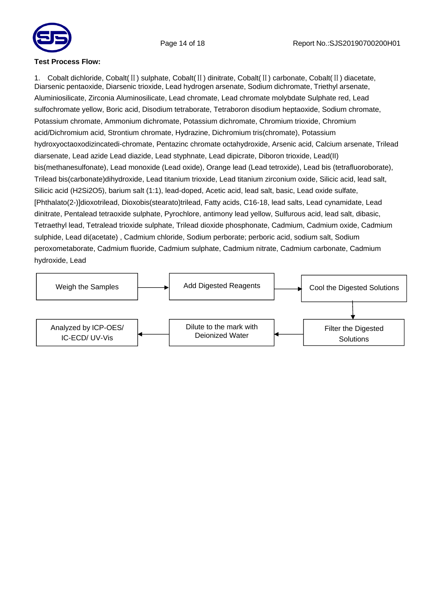



#### **Test Process Flow:**

1. Cobalt dichloride, Cobalt(Ⅱ) sulphate, Cobalt(Ⅱ) dinitrate, Cobalt(Ⅱ) carbonate, Cobalt(Ⅱ) diacetate, Diarsenic pentaoxide, Diarsenic trioxide, Lead hydrogen arsenate, Sodium dichromate, Triethyl arsenate, Aluminiosilicate, Zirconia Aluminosilicate, Lead chromate, Lead chromate molybdate Sulphate red, Lead sulfochromate yellow, Boric acid, Disodium tetraborate, Tetraboron disodium heptaoxide, Sodium chromate, Potassium chromate, Ammonium dichromate, Potassium dichromate, Chromium trioxide, Chromium acid/Dichromium acid, Strontium chromate, Hydrazine, Dichromium tris(chromate), Potassium hydroxyoctaoxodizincatedi-chromate, Pentazinc chromate octahydroxide, Arsenic acid, Calcium arsenate, Trilead diarsenate, Lead azide Lead diazide, Lead styphnate, Lead dipicrate, Diboron trioxide, Lead(II) bis(methanesulfonate), Lead monoxide (Lead oxide), Orange lead (Lead tetroxide), Lead bis (tetrafluoroborate), Trilead bis(carbonate)dihydroxide, Lead titanium trioxide, Lead titanium zirconium oxide, Silicic acid, lead salt, Silicic acid (H2Si2O5), barium salt (1:1), lead-doped, Acetic acid, lead salt, basic, Lead oxide sulfate, [Phthalato(2-)]dioxotrilead, Dioxobis(stearato)trilead, Fatty acids, C16-18, lead salts, Lead cynamidate, Lead dinitrate, Pentalead tetraoxide sulphate, Pyrochlore, antimony lead yellow, Sulfurous acid, lead salt, dibasic, Tetraethyl lead, Tetralead trioxide sulphate, Trilead dioxide phosphonate, Cadmium, Cadmium oxide, Cadmium sulphide, Lead di(acetate) , Cadmium chloride, Sodium perborate; perboric acid, sodium salt, Sodium peroxometaborate, Cadmium fluoride, Cadmium sulphate, Cadmium nitrate, Cadmium carbonate, Cadmium hydroxide, Lead

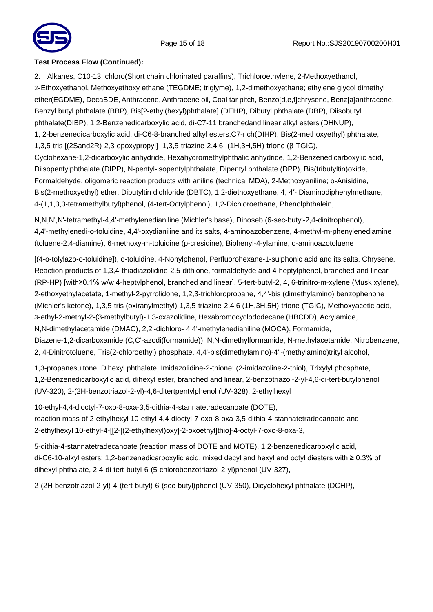

#### **Test Process Flow (Continued):**

2. Alkanes, C10-13, chloro(Short chain chlorinated paraffins), Trichloroethylene, 2-Methoxyethanol, 2-Ethoxyethanol, Methoxyethoxy ethane (TEGDME; triglyme), 1,2-dimethoxyethane; ethylene glycol dimethyl ether(EGDME), DecaBDE, Anthracene, Anthracene oil, Coal tar pitch, Benzo[d,e,f]chrysene, Benz[a]anthracene, Benzyl butyl phthalate (BBP), Bis[2-ethyl(hexyl)phthalate] (DEHP), Dibutyl phthalate (DBP), Diisobutyl phthalate(DIBP), 1,2-Benzenedicarboxylic acid, di-C7-11 branchedand linear alkyl esters (DHNUP), 1, 2-benzenedicarboxylic acid, di-C6-8-branched alkyl esters,C7-rich(DIHP), Bis(2-methoxyethyl) phthalate, 1,3,5-tris [(2Sand2R)-2,3-epoxypropyl] -1,3,5-triazine-2,4,6- (1H,3H,5H)-trione (β-TGIC), Cyclohexane-1,2-dicarboxylic anhydride, Hexahydromethylphthalic anhydride, 1,2-Benzenedicarboxylic acid, Diisopentylphthalate (DIPP), N-pentyl-isopentylphthalate, Dipentyl phthalate (DPP), Bis(tributyltin)oxide, Formaldehyde, oligomeric reaction products with aniline (technical MDA), 2-Methoxyaniline; o-Anisidine, Bis(2-methoxyethyl) ether, Dibutyltin dichloride (DBTC), 1,2-diethoxyethane, 4, 4′- Diaminodiphenylmethane, 4-(1,1,3,3-tetramethylbutyl)phenol, (4-tert-Octylphenol), 1,2-Dichloroethane, Phenolphthalein,

N,N,N',N'-tetramethyl-4,4'-methylenedianiline (Michler's base), Dinoseb (6-sec-butyl-2,4-dinitrophenol), 4,4'-methylenedi-o-toluidine, 4,4'-oxydianiline and its salts, 4-aminoazobenzene, 4-methyl-m-phenylenediamine (toluene-2,4-diamine), 6-methoxy-m-toluidine (p-cresidine), Biphenyl-4-ylamine, o-aminoazotoluene

[(4-o-tolylazo-o-toluidine]), o-toluidine, 4-Nonylphenol, Perfluorohexane-1-sulphonic acid and its salts, Chrysene, Reaction products of 1,3,4-thiadiazolidine-2,5-dithione, formaldehyde and 4-heptylphenol, branched and linear (RP-HP) [with≥0.1% w/w 4-heptylphenol, branched and linear], 5-tert-butyl-2, 4, 6-trinitro-m-xylene (Musk xylene), 2-ethoxyethylacetate, 1-methyl-2-pyrrolidone, 1,2,3-trichloropropane, 4,4'-bis (dimethylamino) benzophenone (Michler's ketone), 1,3,5-tris (oxiranylmethyl)-1,3,5-triazine-2,4,6 (1H,3H,5H)-trione (TGIC), Methoxyacetic acid, 3-ethyl-2-methyl-2-(3-methylbutyl)-1,3-oxazolidine, Hexabromocyclododecane (HBCDD), Acrylamide, N,N-dimethylacetamide (DMAC), 2,2'-dichloro- 4,4'-methylenedianiline (MOCA), Formamide, Diazene-1,2-dicarboxamide (C,C'-azodi(formamide)), N,N-dimethylformamide, N-methylacetamide, Nitrobenzene, 2, 4-Dinitrotoluene, Tris(2-chloroethyl) phosphate, 4,4'-bis(dimethylamino)-4''-(methylamino)trityl alcohol,

1,3-propanesultone, Dihexyl phthalate, Imidazolidine-2-thione; (2-imidazoline-2-thiol), Trixylyl phosphate, 1,2-Benzenedicarboxylic acid, dihexyl ester, branched and linear, 2-benzotriazol-2-yl-4,6-di-tert-butylphenol (UV-320), 2-(2H-benzotriazol-2-yl)-4,6-ditertpentylphenol (UV-328), 2-ethylhexyl

10-ethyl-4,4-dioctyl-7-oxo-8-oxa-3,5-dithia-4-stannatetradecanoate (DOTE), reaction mass of 2-ethylhexyl 10-ethyl-4,4-dioctyl-7-oxo-8-oxa-3,5-dithia-4-stannatetradecanoate and 2-ethylhexyl 10-ethyl-4-[[2-[(2-ethylhexyl)oxy]-2-oxoethyl]thio]-4-octyl-7-oxo-8-oxa-3,

5-dithia-4-stannatetradecanoate (reaction mass of DOTE and MOTE), 1,2-benzenedicarboxylic acid, di-C6-10-alkyl esters; 1,2-benzenedicarboxylic acid, mixed decyl and hexyl and octyl diesters with ≥ 0.3% of dihexyl phthalate, 2,4-di-tert-butyl-6-(5-chlorobenzotriazol-2-yl)phenol (UV-327),

2-(2H-benzotriazol-2-yl)-4-(tert-butyl)-6-(sec-butyl)phenol (UV-350), Dicyclohexyl phthalate (DCHP),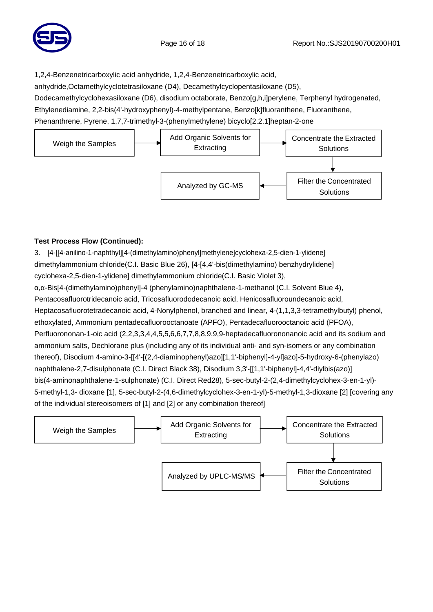

1,2,4-Benzenetricarboxylic acid anhydride, 1,2,4-Benzenetricarboxylic acid,

anhydride,Octamethylcyclotetrasiloxane (D4), Decamethylcyclopentasiloxane (D5),

Dodecamethylcyclohexasiloxane (D6), disodium octaborate, Benzo[g,h,i]perylene, Terphenyl hydrogenated, Ethylenediamine, 2,2-bis(4'-hydroxyphenyl)-4-methylpentane, Benzo[k]fluoranthene, Fluoranthene, Phenanthrene, Pyrene, 1,7,7-trimethyl-3-(phenylmethylene) bicyclo[2.2.1]heptan-2-one



# **Test Process Flow (Continued):**

3. [4-[[4-anilino-1-naphthyl][4-(dimethylamino)phenyl]methylene]cyclohexa-2,5-dien-1-ylidene] dimethylammonium chloride(C.I. Basic Blue 26), [4-[4,4'-bis(dimethylamino) benzhydrylidene] cyclohexa-2,5-dien-1-ylidene] dimethylammonium chloride(C.I. Basic Violet 3), α,α-Bis[4-(dimethylamino)phenyl]-4 (phenylamino)naphthalene-1-methanol (C.I. Solvent Blue 4), Pentacosafluorotridecanoic acid, Tricosafluorododecanoic acid, Henicosafluoroundecanoic acid, Heptacosafluorotetradecanoic acid, 4-Nonylphenol, branched and linear, 4-(1,1,3,3-tetramethylbutyl) phenol, ethoxylated, Ammonium pentadecafluorooctanoate (APFO), Pentadecafluorooctanoic acid (PFOA), Perfluorononan-1-oic acid (2,2,3,3,4,4,5,5,6,6,7,7,8,8,9,9,9-heptadecafluorononanoic acid and its sodium and ammonium salts, Dechlorane plus (including any of its individual anti- and syn-isomers or any combination thereof), Disodium 4-amino-3-[[4'-[(2,4-diaminophenyl)azo][1,1'-biphenyl]-4-yl]azo]-5-hydroxy-6-(phenylazo) naphthalene-2,7-disulphonate (C.I. Direct Black 38), Disodium 3,3'-[[1,1'-biphenyl]-4,4'-diylbis(azo)] bis(4-aminonaphthalene-1-sulphonate) (C.I. Direct Red28), 5-sec-butyl-2-(2,4-dimethylcyclohex-3-en-1-yl)- 5-methyl-1,3- dioxane [1], 5-sec-butyl-2-(4,6-dimethylcyclohex-3-en-1-yl)-5-methyl-1,3-dioxane [2] [covering any of the individual stereoisomers of [1] and [2] or any combination thereof]

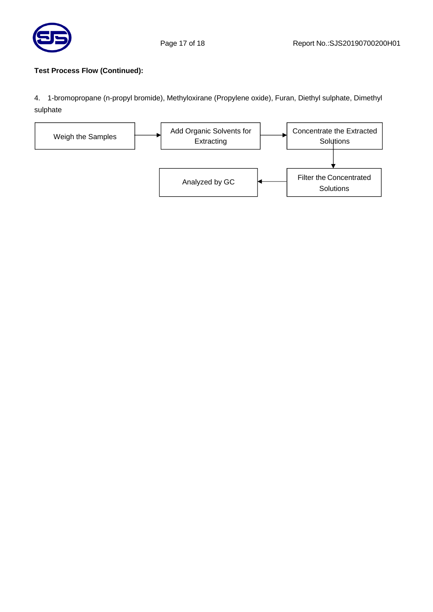

#### **Test Process Flow (Continued):**

4. 1-bromopropane (n-propyl bromide), Methyloxirane (Propylene oxide), Furan, Diethyl sulphate, Dimethyl sulphate